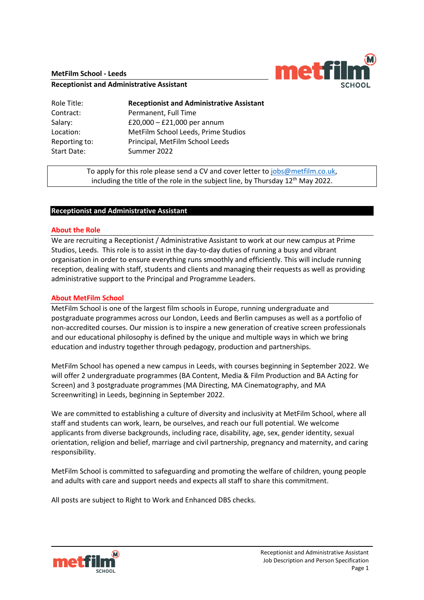### **MetFilm School - Leeds**



#### **Receptionist and Administrative Assistant**

| Role Title:   | <b>Receptionist and Administrative Assistant</b> |
|---------------|--------------------------------------------------|
| Contract:     | Permanent, Full Time                             |
| Salary:       | £20,000 $-$ £21,000 per annum                    |
| Location:     | MetFilm School Leeds, Prime Studios              |
| Reporting to: | Principal, MetFilm School Leeds                  |
| Start Date:   | Summer 2022                                      |

To apply for this role please send a CV and cover letter to [jobs@metfilm.co.uk,](mailto:jobs@metfilm.co.uk) including the title of the role in the subject line, by Thursday  $12<sup>th</sup>$  May 2022.

### **Receptionist and Administrative Assistant**

### **About the Role**

We are recruiting a Receptionist / Administrative Assistant to work at our new campus at Prime Studios, Leeds. This role is to assist in the day-to-day duties of running a busy and vibrant organisation in order to ensure everything runs smoothly and efficiently. This will include running reception, dealing with staff, students and clients and managing their requests as well as providing administrative support to the Principal and Programme Leaders.

### **About MetFilm School**

MetFilm School is one of the largest film schools in Europe, running undergraduate and postgraduate programmes across our London, Leeds and Berlin campuses as well as a portfolio of non-accredited courses. Our mission is to inspire a new generation of creative screen professionals and our educational philosophy is defined by the unique and multiple ways in which we bring education and industry together through pedagogy, production and partnerships.

MetFilm School has opened a new campus in Leeds, with courses beginning in September 2022. We will offer 2 undergraduate programmes (BA Content, Media & Film Production and BA Acting for Screen) and 3 postgraduate programmes (MA Directing, MA Cinematography, and MA Screenwriting) in Leeds, beginning in September 2022.

We are committed to establishing a culture of diversity and inclusivity at MetFilm School, where all staff and students can work, learn, be ourselves, and reach our full potential. We welcome applicants from diverse backgrounds, including race, disability, age, sex, gender identity, sexual orientation, religion and belief, marriage and civil partnership, pregnancy and maternity, and caring responsibility.

MetFilm School is committed to safeguarding and promoting the welfare of children, young people and adults with care and support needs and expects all staff to share this commitment.

All posts are subject to Right to Work and Enhanced DBS checks.